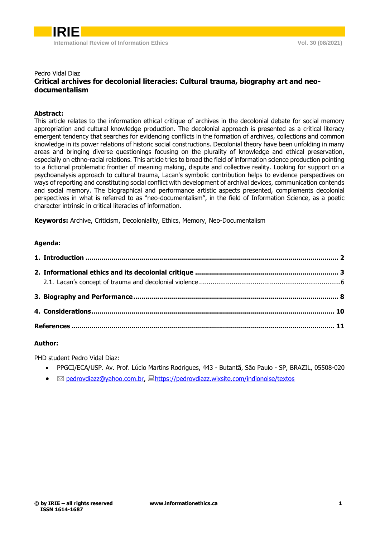

### Pedro Vidal Diaz **Critical archives for decolonial literacies: Cultural trauma, biography art and neodocumentalism**

#### **Abstract:**

This article relates to the information ethical critique of archives in the decolonial debate for social memory appropriation and cultural knowledge production. The decolonial approach is presented as a critical literacy emergent tendency that searches for evidencing conflicts in the formation of archives, collections and common knowledge in its power relations of historic social constructions. Decolonial theory have been unfolding in many areas and bringing diverse questionings focusing on the plurality of knowledge and ethical preservation, especially on ethno-racial relations. This article tries to broad the field of information science production pointing to a fictional problematic frontier of meaning making, dispute and collective reality. Looking for support on a psychoanalysis approach to cultural trauma, Lacan's symbolic contribution helps to evidence perspectives on ways of reporting and constituting social conflict with development of archival devices, communication contends and social memory. The biographical and performance artistic aspects presented, complements decolonial perspectives in what is referred to as "neo-documentalism", in the field of Information Science, as a poetic character intrinsic in critical literacies of information.

**Keywords:** Archive, Criticism, Decoloniality, Ethics, Memory, Neo-Documentalism

#### **Agenda:**

#### **Author:**

PHD student Pedro Vidal Diaz:

- PPGCI/ECA/USP. Av. Prof. Lúcio Martins Rodrigues, 443 Butantã, São Paulo SP, BRAZIL, 05508-020
- $\boxtimes$  [pedrovdiazz@yahoo.com.br,](pedrovdiazz@yahoo.com.br)  $\Box$ <https://pedrovdiazz.wixsite.com/indionoise/textos>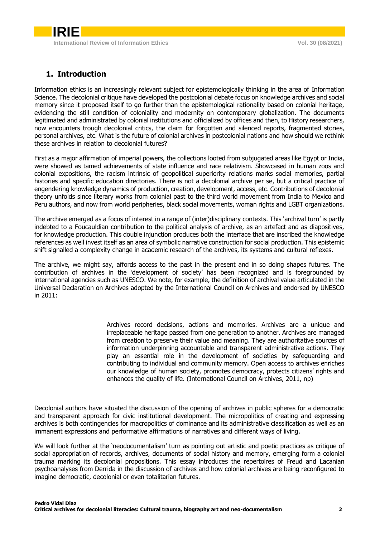# <span id="page-1-0"></span>**1. Introduction**

Information ethics is an increasingly relevant subject for epistemologically thinking in the area of Information Science. The decolonial critique have developed the postcolonial debate focus on knowledge archives and social memory since it proposed itself to go further than the epistemological rationality based on colonial heritage, evidencing the still condition of coloniality and modernity on contemporary globalization. The documents legitimated and administrated by colonial institutions and officialized by offices and then, to History researchers, now encounters trough decolonial critics, the claim for forgotten and silenced reports, fragmented stories, personal archives, etc. What is the future of colonial archives in postcolonial nations and how should we rethink these archives in relation to decolonial futures?

First as a major affirmation of imperial powers, the collections looted from subjugated areas like Egypt or India, were showed as tamed achievements of state influence and race relativism. Showcased in human zoos and colonial expositions, the racism intrinsic of geopolitical superiority relations marks social memories, partial histories and specific education directories. There is not a decolonial archive per se, but a critical practice of engendering knowledge dynamics of production, creation, development, access, etc. Contributions of decolonial theory unfolds since literary works from colonial past to the third world movement from India to Mexico and Peru authors, and now from world peripheries, black social movements, woman rights and LGBT organizations.

The archive emerged as a focus of interest in a range of (inter)disciplinary contexts. This 'archival turn' is partly indebted to a Foucauldian contribution to the political analysis of archive, as an artefact and as diapositives, for knowledge production. This double injunction produces both the interface that are inscribed the knowledge references as well invest itself as an area of symbolic narrative construction for social production. This epistemic shift signalled a complexity change in academic research of the archives, its systems and cultural reflexes.

The archive, we might say, affords access to the past in the present and in so doing shapes futures. The contribution of archives in the 'development of society' has been recognized and is foregrounded by international agencies such as UNESCO. We note, for example, the definition of archival value articulated in the Universal Declaration on Archives adopted by the International Council on Archives and endorsed by UNESCO in 2011:

> Archives record decisions, actions and memories. Archives are a unique and irreplaceable heritage passed from one generation to another. Archives are managed from creation to preserve their value and meaning. They are authoritative sources of information underpinning accountable and transparent administrative actions. They play an essential role in the development of societies by safeguarding and contributing to individual and community memory. Open access to archives enriches our knowledge of human society, promotes democracy, protects citizens' rights and enhances the quality of life. (International Council on Archives, 2011, np)

Decolonial authors have situated the discussion of the opening of archives in public spheres for a democratic and transparent approach for civic institutional development. The micropolitics of creating and expressing archives is both contingencies for macropolitics of dominance and its administrative classification as well as an immanent expressions and performative affirmations of narratives and different ways of living.

We will look further at the 'neodocumentalism' turn as pointing out artistic and poetic practices as critique of social appropriation of records, archives, documents of social history and memory, emerging form a colonial trauma marking its decolonial propositions. This essay introduces the repertoires of Freud and Lacanian psychoanalyses from Derrida in the discussion of archives and how colonial archives are being reconfigured to imagine democratic, decolonial or even totalitarian futures.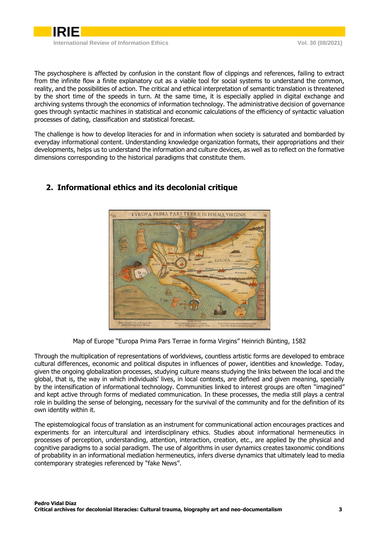

The psychosphere is affected by confusion in the constant flow of clippings and references, failing to extract from the infinite flow a finite explanatory cut as a viable tool for social systems to understand the common, reality, and the possibilities of action. The critical and ethical interpretation of semantic translation is threatened by the short time of the speeds in turn. At the same time, it is especially applied in digital exchange and archiving systems through the economics of information technology. The administrative decision of governance goes through syntactic machines in statistical and economic calculations of the efficiency of syntactic valuation processes of dating, classification and statistical forecast.

The challenge is how to develop literacies for and in information when society is saturated and bombarded by everyday informational content. Understanding knowledge organization formats, their appropriations and their developments, helps us to understand the information and culture devices, as well as to reflect on the formative dimensions corresponding to the historical paradigms that constitute them.



## <span id="page-2-0"></span>**2. Informational ethics and its decolonial critique**

Map of Europe "Europa Prima Pars Terrae in forma Virgins" Heinrich Bünting, 1582

Through the multiplication of representations of worldviews, countless artistic forms are developed to embrace cultural differences, economic and political disputes in influences of power, identities and knowledge. Today, given the ongoing globalization processes, studying culture means studying the links between the local and the global, that is, the way in which individuals' lives, in local contexts, are defined and given meaning, specially by the intensification of informational technology. Communities linked to interest groups are often "imagined" and kept active through forms of mediated communication. In these processes, the media still plays a central role in building the sense of belonging, necessary for the survival of the community and for the definition of its own identity within it.

The epistemological focus of translation as an instrument for communicational action encourages practices and experiments for an intercultural and interdisciplinary ethics. Studies about informational hermeneutics in processes of perception, understanding, attention, interaction, creation, etc., are applied by the physical and cognitive paradigms to a social paradigm. The use of algorithms in user dynamics creates taxonomic conditions of probability in an informational mediation hermeneutics, infers diverse dynamics that ultimately lead to media contemporary strategies referenced by "fake News".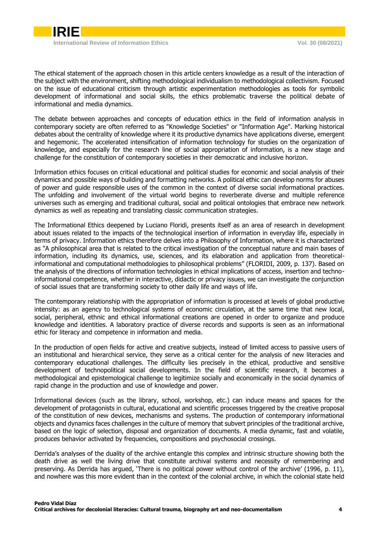The ethical statement of the approach chosen in this article centers knowledge as a result of the interaction of the subject with the environment, shifting methodological individualism to methodological collectivism. Focused on the issue of educational criticism through artistic experimentation methodologies as tools for symbolic development of informational and social skills, the ethics problematic traverse the political debate of informational and media dynamics.

The debate between approaches and concepts of education ethics in the field of information analysis in contemporary society are often referred to as "Knowledge Societies" or "Information Age". Marking historical debates about the centrality of knowledge where it its productive dynamics have applications diverse, emergent and hegemonic. The accelerated intensification of information technology for studies on the organization of knowledge, and especially for the research line of social appropriation of information, is a new stage and challenge for the constitution of contemporary societies in their democratic and inclusive horizon.

Information ethics focuses on critical educational and political studies for economic and social analysis of their dynamics and possible ways of building and formatting networks. A political ethic can develop norms for abuses of power and guide responsible uses of the common in the context of diverse social informational practices. The unfolding and involvement of the virtual world begins to reverberate diverse and multiple reference universes such as emerging and traditional cultural, social and political ontologies that embrace new network dynamics as well as repeating and translating classic communication strategies.

The Informational Ethics deepened by Luciano Floridi, presents itself as an area of research in development about issues related to the impacts of the technological insertion of information in everyday life, especially in terms of privacy. Information ethics therefore delves into a Philosophy of Information, where it is characterized as "A philosophical area that is related to the critical investigation of the conceptual nature and main bases of information, including its dynamics, use, sciences, and its elaboration and application from theoreticalinformational and computational methodologies to philosophical problems" (FLORIDI, 2009, p. 137). Based on the analysis of the directions of information technologies in ethical implications of access, insertion and technoinformational competence, whether in interactive, didactic or privacy issues, we can investigate the conjunction of social issues that are transforming society to other daily life and ways of life.

The contemporary relationship with the appropriation of information is processed at levels of global productive intensity: as an agency to technological systems of economic circulation, at the same time that new local, social, peripheral, ethnic and ethical informational creations are opened in order to organize and produce knowledge and identities. A laboratory practice of diverse records and supports is seen as an informational ethic for literacy and competence in information and media.

In the production of open fields for active and creative subjects, instead of limited access to passive users of an institutional and hierarchical service, they serve as a critical center for the analysis of new literacies and contemporary educational challenges. The difficulty lies precisely in the ethical, productive and sensitive development of technopolitical social developments. In the field of scientific research, it becomes a methodological and epistemological challenge to legitimize socially and economically in the social dynamics of rapid change in the production and use of knowledge and power.

Informational devices (such as the library, school, workshop, etc.) can induce means and spaces for the development of protagonists in cultural, educational and scientific processes triggered by the creative proposal of the constitution of new devices, mechanisms and systems. The production of contemporary informational objects and dynamics faces challenges in the culture of memory that subvert principles of the traditional archive, based on the logic of selection, disposal and organization of documents. A media dynamic, fast and volatile, produces behavior activated by frequencies, compositions and psychosocial crossings.

Derrida's analyses of the duality of the archive entangle this complex and intrinsic structure showing both the death drive as well the living drive that constitute archival systems and necessity of remembering and preserving. As Derrida has argued, 'There is no political power without control of the archive' (1996, p. 11), and nowhere was this more evident than in the context of the colonial archive, in which the colonial state held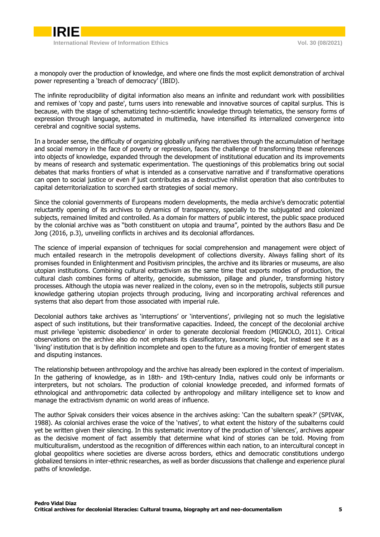

a monopoly over the production of knowledge, and where one finds the most explicit demonstration of archival power representing a 'breach of democracy' (IBID).

The infinite reproducibility of digital information also means an infinite and redundant work with possibilities and remixes of 'copy and paste', turns users into renewable and innovative sources of capital surplus. This is because, with the stage of schematizing techno-scientific knowledge through telematics, the sensory forms of expression through language, automated in multimedia, have intensified its internalized convergence into cerebral and cognitive social systems.

In a broader sense, the difficulty of organizing globally unifying narratives through the accumulation of heritage and social memory in the face of poverty or repression, faces the challenge of transforming these references into objects of knowledge, expanded through the development of institutional education and its improvements by means of research and systematic experimentation. The questionings of this problematics bring out social debates that marks frontiers of what is intended as a conservative narrative and if transformative operations can open to social justice or even if just contributes as a destructive nihilist operation that also contributes to capital deterritorialization to scorched earth strategies of social memory.

Since the colonial governments of Europeans modern developments, the media archive's democratic potential reluctantly opening of its archives to dynamics of transparency, specially to the subjugated and colonized subjects, remained limited and controlled. As a domain for matters of public interest, the public space produced by the colonial archive was as "both constituent on utopia and trauma", pointed by the authors Basu and De Jong (2016, p.3), unveiling conflicts in archives and its decolonial affordances.

The science of imperial expansion of techniques for social comprehension and management were object of much entailed research in the metropolis development of collections diversity. Always falling short of its promises founded in Enlightenment and Positivism principles, the archive and its libraries or museums, are also utopian institutions. Combining cultural extractivism as the same time that exports modes of production, the cultural clash combines forms of alterity, genocide, submission, pillage and plunder, transforming history processes. Although the utopia was never realized in the colony, even so in the metropolis, subjects still pursue knowledge gathering utopian projects through producing, living and incorporating archival references and systems that also depart from those associated with imperial rule.

Decolonial authors take archives as 'interruptions' or 'interventions', privileging not so much the legislative aspect of such institutions, but their transformative capacities. Indeed, the concept of the decolonial archive must privilege 'epistemic disobedience' in order to generate decolonial freedom (MIGNOLO, 2011). Critical observations on the archive also do not emphasis its classificatory, taxonomic logic, but instead see it as a 'living' institution that is by definition incomplete and open to the future as a moving frontier of emergent states and disputing instances.

The relationship between anthropology and the archive has already been explored in the context of imperialism. In the gathering of knowledge, as in 18th- and 19th-century India, natives could only be informants or interpreters, but not scholars. The production of colonial knowledge preceded, and informed formats of ethnological and anthropometric data collected by anthropology and military intelligence set to know and manage the extractivism dynamic on world areas of influence.

The author Spivak considers their voices absence in the archives asking: 'Can the subaltern speak?' (SPIVAK, 1988). As colonial archives erase the voice of the 'natives', to what extent the history of the subalterns could yet be written given their silencing. In this systematic inventory of the production of 'silences', archives appear as the decisive moment of fact assembly that determine what kind of stories can be told. Moving from multiculturalism, understood as the recognition of differences within each nation, to an intercultural concept in global geopolitics where societies are diverse across borders, ethics and democratic constitutions undergo globalized tensions in inter-ethnic researches, as well as border discussions that challenge and experience plural paths of knowledge.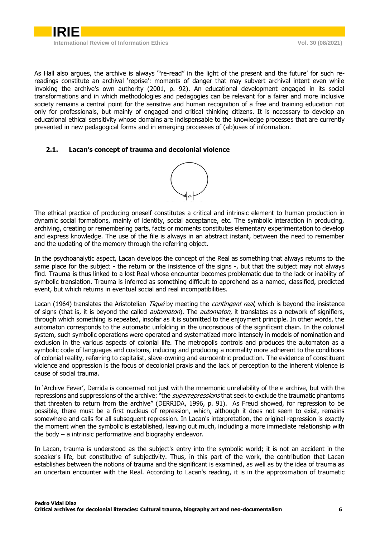

As Hall also argues, the archive is always '"re-read" in the light of the present and the future' for such rereadings constitute an archival 'reprise': moments of danger that may subvert archival intent even while invoking the archive's own authority (2001, p. 92). An educational development engaged in its social transformations and in which methodologies and pedagogies can be relevant for a fairer and more inclusive society remains a central point for the sensitive and human recognition of a free and training education not only for professionals, but mainly of engaged and critical thinking citizens. It is necessary to develop an educational ethical sensitivity whose domains are indispensable to the knowledge processes that are currently presented in new pedagogical forms and in emerging processes of (ab)uses of information.

### <span id="page-5-0"></span>**2.1. Lacan's concept of trauma and decolonial violence**



The ethical practice of producing oneself constitutes a critical and intrinsic element to human production in dynamic social formations, mainly of identity, social acceptance, etc. The symbolic interaction in producing, archiving, creating or remembering parts, facts or moments constitutes elementary experimentation to develop and express knowledge. The use of the file is always in an abstract instant, between the need to remember and the updating of the memory through the referring object.

In the psychoanalytic aspect, Lacan develops the concept of the Real as something that always returns to the same place for the subject - the return or the insistence of the signs -, but that the subject may not always find. Trauma is thus linked to a lost Real whose encounter becomes problematic due to the lack or inability of symbolic translation. Trauma is inferred as something difficult to apprehend as a named, classified, predicted event, but which returns in eventual social and real incompatibilities.

Lacan (1964) translates the Aristotelian *Tiqué* by meeting the *contingent real*, which is beyond the insistence of signs (that is, it is beyond the called *automaton*). The *automaton*, it translates as a network of signifiers, through which something is repeated, insofar as it is submitted to the enjoyment principle. In other words, the automaton corresponds to the automatic unfolding in the unconscious of the significant chain. In the colonial system, such symbolic operations were operated and systematized more intensely in models of nomination and exclusion in the various aspects of colonial life. The metropolis controls and produces the automaton as a symbolic code of languages and customs, inducing and producing a normality more adherent to the conditions of colonial reality, referring to capitalist, slave-owning and eurocentric production. The evidence of constituent violence and oppression is the focus of decolonial praxis and the lack of perception to the inherent violence is cause of social trauma.

In 'Archive Fever', Derrida is concerned not just with the mnemonic unreliability of the e archive, but with the repressions and suppressions of the archive: "the *superrepressions* that seek to exclude the traumatic phantoms that threaten to return from the archive" (DERRIDA, 1996, p. 91). As Freud showed, for repression to be possible, there must be a first nucleus of repression, which, although it does not seem to exist, remains somewhere and calls for all subsequent repression. In Lacan's interpretation, the original repression is exactly the moment when the symbolic is established, leaving out much, including a more immediate relationship with the body – a intrinsic performative and biography endeavor.

In Lacan, trauma is understood as the subject's entry into the symbolic world; it is not an accident in the speaker's life, but constitutive of subjectivity. Thus, in this part of the work, the contribution that Lacan establishes between the notions of trauma and the significant is examined, as well as by the idea of trauma as an uncertain encounter with the Real. According to Lacan's reading, it is in the approximation of traumatic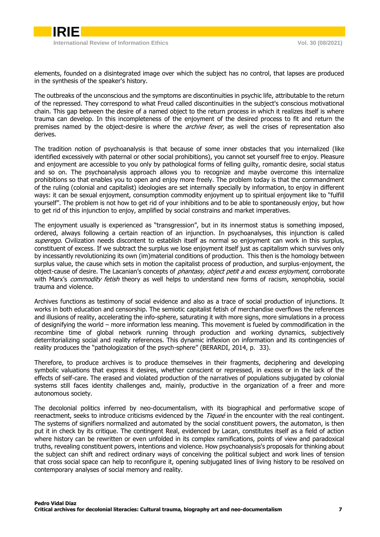elements, founded on a disintegrated image over which the subject has no control, that lapses are produced in the synthesis of the speaker's history.

The outbreaks of the unconscious and the symptoms are discontinuities in psychic life, attributable to the return of the repressed. They correspond to what Freud called discontinuities in the subject's conscious motivational chain. This gap between the desire of a named object to the return process in which it realizes itself is where trauma can develop. In this incompleteness of the enjoyment of the desired process to fit and return the premises named by the object-desire is where the *archive fever*, as well the crises of representation also derives.

The tradition notion of psychoanalysis is that because of some inner obstacles that you internalized (like identified excessively with paternal or other social prohibitions), you cannot set yourself free to enjoy. Pleasure and enjoyment are accessible to you only by pathological forms of felling guilty, romantic desire, social status and so on. The psychoanalysis approach allows you to recognize and maybe overcome this internalize prohibitions so that enables you to open and enjoy more freely. The problem today is that the commandment of the ruling (colonial and capitalist) ideologies are set internally specially by information, to enjoy in different ways: it can be sexual enjoyment, consumption commodity enjoyment up to spiritual enjoyment like to "fulfill yourself". The problem is not how to get rid of your inhibitions and to be able to spontaneously enjoy, but how to get rid of this injunction to enjoy, amplified by social constrains and market imperatives.

The enjoyment usually is experienced as "transgression", but in its innermost status is something imposed, ordered, always following a certain reaction of an injunction. In psychoanalyses, this injunction is called superego. Civilization needs discontent to establish itself as normal so enjoyment can work in this surplus, constituent of excess. If we subtract the surplus we lose enjoyment itself just as capitalism which survives only by incessantly revolutionizing its own (im)material conditions of production. This then is the homology between surplus value, the cause which sets in motion the capitalist process of production, and surplus-enjoyment, the object-cause of desire. The Lacanian's concepts of *phantasy, object petit a* and excess enjoyment, corroborate with Marx's *commodity fetish* theory as well helps to understand new forms of racism, xenophobia, social trauma and violence.

Archives functions as testimony of social evidence and also as a trace of social production of injunctions. It works in both education and censorship. The semiotic capitalist fetish of merchandise overflows the references and illusions of reality, accelerating the info-sphere, saturating it with more signs, more simulations in a process of designifying the world – more information less meaning. This movement is fueled by commodification in the recombine time of global network running through production and working dynamics, subjectively deterritorializing social and reality references. This dynamic inflexion on information and its contingencies of reality produces the "pathologization of the psych-sphere" (BERARDI, 2014, p. 33).

Therefore, to produce archives is to produce themselves in their fragments, deciphering and developing symbolic valuations that express it desires, whether conscient or repressed, in excess or in the lack of the effects of self-care. The erased and violated production of the narratives of populations subjugated by colonial systems still faces identity challenges and, mainly, productive in the organization of a freer and more autonomous society.

The decolonial politics inferred by neo-documentalism, with its biographical and performative scope of reenactment, seeks to introduce criticisms evidenced by the Tiquee in the encounter with the real contingent. The systems of signifiers normalized and automated by the social constituent powers, the automaton, is then put it in check by its critique. The contingent Real, evidenced by Lacan, constitutes itself as a field of action where history can be rewritten or even unfolded in its complex ramifications, points of view and paradoxical truths, revealing constituent powers, intentions and violence. How psychoanalysis's proposals for thinking about the subject can shift and redirect ordinary ways of conceiving the political subject and work lines of tension that cross social space can help to reconfigure it, opening subjugated lines of living history to be resolved on contemporary analyses of social memory and reality.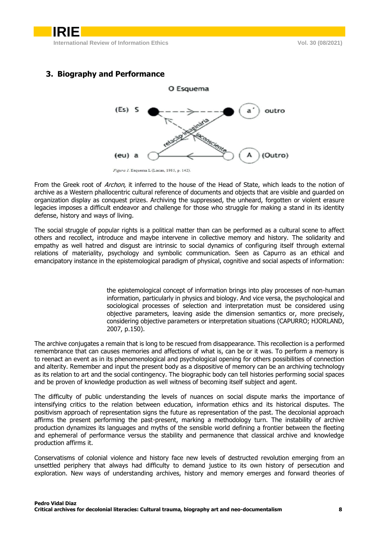

## <span id="page-7-0"></span>**3. Biography and Performance**

From the Greek root of Archon, it inferred to the house of the Head of State, which leads to the notion of archive as a Western phallocentric cultural reference of documents and objects that are visible and guarded on organization display as conquest prizes. Archiving the suppressed, the unheard, forgotten or violent erasure legacies imposes a difficult endeavor and challenge for those who struggle for making a stand in its identity defense, history and ways of living.

The social struggle of popular rights is a political matter than can be performed as a cultural scene to affect others and recollect, introduce and maybe intervene in collective memory and history. The solidarity and empathy as well hatred and disgust are intrinsic to social dynamics of configuring itself through external relations of materiality, psychology and symbolic communication. Seen as Capurro as an ethical and emancipatory instance in the epistemological paradigm of physical, cognitive and social aspects of information:

> the epistemological concept of information brings into play processes of non-human information, particularly in physics and biology. And vice versa, the psychological and sociological processes of selection and interpretation must be considered using objective parameters, leaving aside the dimension semantics or, more precisely, considering objective parameters or interpretation situations (CAPURRO; HJORLAND, 2007, p.150).

The archive conjugates a remain that is long to be rescued from disappearance. This recollection is a performed remembrance that can causes memories and affections of what is, can be or it was. To perform a memory is to reenact an event as in its phenomenological and psychological opening for others possibilities of connection and alterity. Remember and input the present body as a dispositive of memory can be an archiving technology as its relation to art and the social contingency. The biographic body can tell histories performing social spaces and be proven of knowledge production as well witness of becoming itself subject and agent.

The difficulty of public understanding the levels of nuances on social dispute marks the importance of intensifying critics to the relation between education, information ethics and its historical disputes. The positivism approach of representation signs the future as representation of the past. The decolonial approach affirms the present performing the past-present, marking a methodology turn. The instability of archive production dynamizes its languages and myths of the sensible world defining a frontier between the fleeting and ephemeral of performance versus the stability and permanence that classical archive and knowledge production affirms it.

Conservatisms of colonial violence and history face new levels of destructed revolution emerging from an unsettled periphery that always had difficulty to demand justice to its own history of persecution and exploration. New ways of understanding archives, history and memory emerges and forward theories of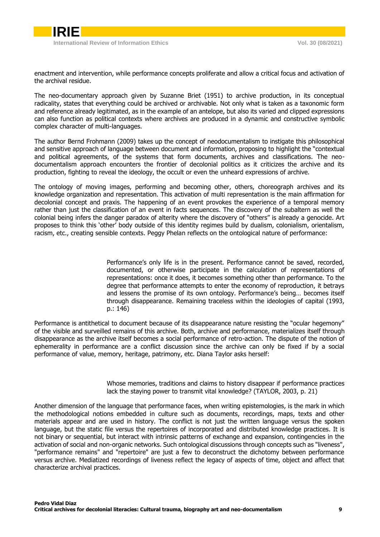enactment and intervention, while performance concepts proliferate and allow a critical focus and activation of the archival residue.

The neo-documentary approach given by Suzanne Briet (1951) to archive production, in its conceptual radicality, states that everything could be archived or archivable. Not only what is taken as a taxonomic form and reference already legitimated, as in the example of an antelope, but also its varied and clipped expressions can also function as political contexts where archives are produced in a dynamic and constructive symbolic complex character of multi-languages.

The author Bernd Frohmann (2009) takes up the concept of neodocumentalism to instigate this philosophical and sensitive approach of language between document and information, proposing to highlight the "contextual and political agreements, of the systems that form documents, archives and classifications. The neodocumentalism approach encounters the frontier of decolonial politics as it criticizes the archive and its production, fighting to reveal the ideology, the occult or even the unheard expressions of archive.

The ontology of moving images, performing and becoming other, others, choreograph archives and its knowledge organization and representation. This activation of multi representation is the main affirmation for decolonial concept and praxis. The happening of an event provokes the experience of a temporal memory rather than just the classification of an event in facts sequences. The discovery of the subaltern as well the colonial being infers the danger paradox of alterity where the discovery of "others" is already a genocide. Art proposes to think this 'other' body outside of this identity regimes build by dualism, colonialism, orientalism, racism, etc., creating sensible contexts. Peggy Phelan reflects on the ontological nature of performance:

> Performance's only life is in the present. Performance cannot be saved, recorded, documented, or otherwise participate in the calculation of representations of representations: once it does, it becomes something other than performance. To the degree that performance attempts to enter the economy of reproduction, it betrays and lessens the promise of its own ontology. Performance's being… becomes itself through disappearance. Remaining traceless within the ideologies of capital (1993, p.: 146)

Performance is antithetical to document because of its disappearance nature resisting the "ocular hegemony" of the visible and surveilled remains of this archive. Both, archive and performance, materializes itself through disappearance as the archive itself becomes a social performance of retro-action. The dispute of the notion of ephemerality in performance are a conflict discussion since the archive can only be fixed if by a social performance of value, memory, heritage, patrimony, etc. Diana Taylor asks herself:

> Whose memories, traditions and claims to history disappear if performance practices lack the staying power to transmit vital knowledge? (TAYLOR, 2003, p. 21)

Another dimension of the language that performance faces, when writing epistemologies, is the mark in which the methodological notions embedded in culture such as documents, recordings, maps, texts and other materials appear and are used in history. The conflict is not just the written language versus the spoken language, but the static file versus the repertoires of incorporated and distributed knowledge practices. It is not binary or sequential, but interact with intrinsic patterns of exchange and expansion, contingencies in the activation of social and non-organic networks. Such ontological discussions through concepts such as "liveness", "performance remains" and "repertoire" are just a few to deconstruct the dichotomy between performance versus archive. Mediatized recordings of liveness reflect the legacy of aspects of time, object and affect that characterize archival practices.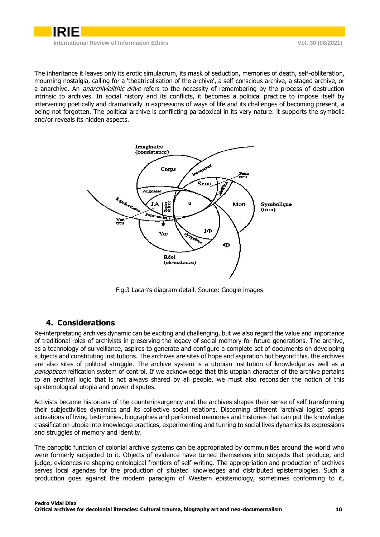

The inheritance it leaves only its erotic simulacrum, its mask of seduction, memories of death, self-obliteration, mourning nostalgia, calling for a 'theatricalisation of the archive', a self-conscious archive, a staged archive, or a anarchive. An *anarchiviolithic drive* refers to the necessity of remembering by the process of destruction intrinsic to archives. In social history and its conflicts, it becomes a political practice to impose itself by intervening poetically and dramatically in expressions of ways of life and its challenges of becoming present, a being not forgotten. The political archive is conflicting paradoxical in its very nature: it supports the symbolic and/or reveals its hidden aspects.



Fig.3 Lacan's diagram detail. Source: Google images

# **4. Considerations**

<span id="page-9-0"></span>Re-interpretating archives dynamic can be exciting and challenging, but we also regard the value and importance of traditional roles of archivists in preserving the legacy of social memory for future generations. The archive, as a technology of surveillance, aspires to generate and configure a complete set of documents on developing subjects and constituting institutions. The archives are sites of hope and aspiration but beyond this, the archives are also sites of political struggle. The archive system is a utopian institution of knowledge as well as a panopticon reification system of control. If we acknowledge that this utopian character of the archive pertains to an archival logic that is not always shared by all people, we must also reconsider the notion of this epistemological utopia and power disputes.

Activists became historians of the counterinsurgency and the archives shapes their sense of self transforming their subjectivities dynamics and its collective social relations. Discerning different 'archival logics' opens activations of living testimonies, biographies and performed memories and histories that can put the knowledge classification utopia into knowledge practices, experimenting and turning to social lives dynamics its expressions and struggles of memory and identity.

The panoptic function of colonial archive systems can be appropriated by communities around the world who were formerly subjected to it. Objects of evidence have turned themselves into subjects that produce, and judge, evidences re-shaping ontological frontiers of self-writing. The appropriation and production of archives serves local agendas for the production of situated knowledges and distributed epistemologies. Such a production goes against the modern paradigm of Western epistemology, sometimes conforming to it,